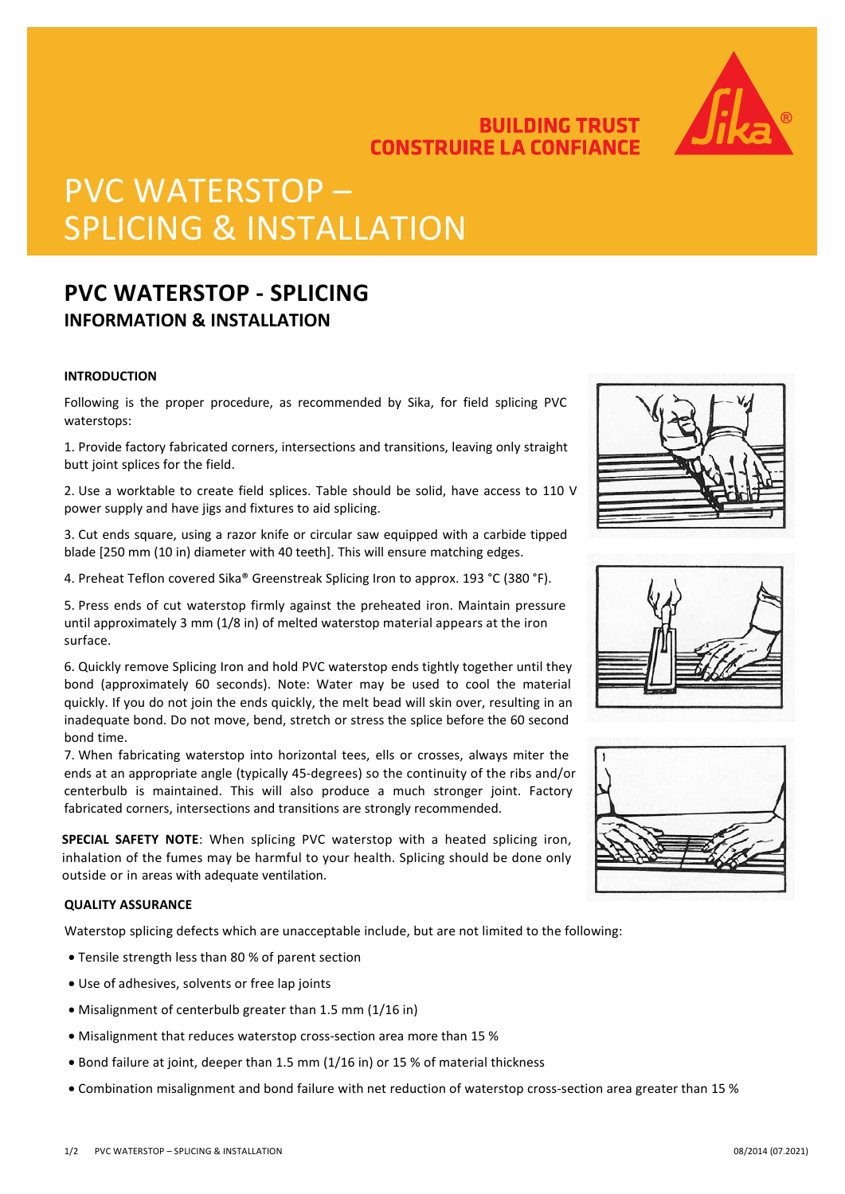



# PVC WATERSTOP – SPLICING & INSTALLATION

## **PVC WATERSTOP - SPLICING INFORMATION & INSTALLATION**

#### **INTRODUCTION**

Following is the proper procedure, as recommended by Sika, for field splicing PVC waterstops:

1. Provide factory fabricated corners, intersections and transitions, leaving only straight butt joint splices for the field.

2. Use a worktable to create field splices. Table should be solid, have access to 110 V power supply and have jigs and fixtures to aid splicing.

3. Cut ends square, using a razor knife or circular saw equipped with a carbide tipped blade [250 mm (10 in) diameter with 40 teeth]. This will ensure matching edges.

4. Preheat Teflon covered Sika® Greenstreak Splicing Iron to approx. 193 °C (380 °F).

5. Press ends of cut waterstop firmly against the preheated iron. Maintain pressure until approximately 3 mm (1/8 in) of melted waterstop material appears at the iron surface.

6. Quickly remove Splicing Iron and hold PVC waterstop ends tightly together until they bond (approximately 60 seconds). Note: Water may be used to cool the material quickly. If you do not join the ends quickly, the melt bead will skin over, resulting in an inadequate bond. Do not move, bend, stretch or stress the splice before the 60 second bond time.

7. When fabricating waterstop into horizontal tees, ells or crosses, always miter the ends at an appropriate angle (typically 45-degrees) so the continuity of the ribs and/or centerbulb is maintained. This will also produce a much stronger joint. Factory fabricated corners, intersections and transitions are strongly recommended.

**SPECIAL SAFETY NOTE**: When splicing PVC waterstop with a heated splicing iron, inhalation of the fumes may be harmful to your health. Splicing should be done only outside or in areas with adequate ventilation.

#### **QUALITY ASSURANCE**

Waterstop splicing defects which are unacceptable include, but are not limited to the following:

- Tensile strength less than 80 % of parent section
- Use of adhesives, solvents or free lap joints
- Misalignment of centerbulb greater than 1.5 mm (1/16 in)
- Misalignment that reduces waterstop cross-section area more than 15 %
- Bond failure at joint, deeper than 1.5 mm (1/16 in) or 15 % of material thickness
- Combination misalignment and bond failure with net reduction of waterstop cross-section area greater than 15 %